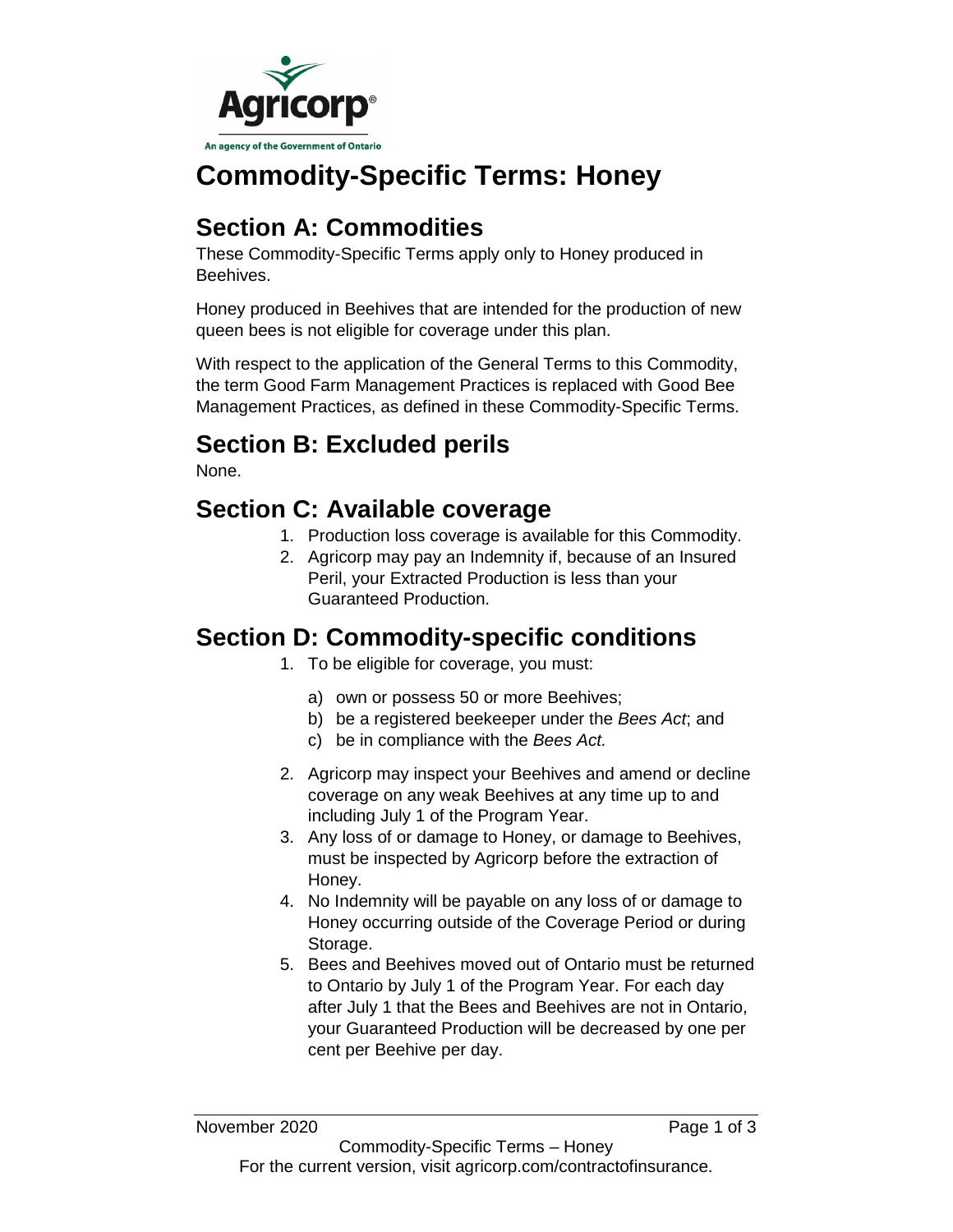

# **Commodity-Specific Terms: Honey**

# **Section A: Commodities**

These Commodity-Specific Terms apply only to Honey produced in Beehives.

Honey produced in Beehives that are intended for the production of new queen bees is not eligible for coverage under this plan.

With respect to the application of the General Terms to this Commodity, the term Good Farm Management Practices is replaced with Good Bee Management Practices, as defined in these Commodity-Specific Terms.

# **Section B: Excluded perils**

None.

## **Section C: Available coverage**

- 1. Production loss coverage is available for this Commodity.
- 2. Agricorp may pay an Indemnity if, because of an Insured Peril, your Extracted Production is less than your Guaranteed Production.

# **Section D: Commodity-specific conditions**

- 1. To be eligible for coverage, you must:
	- a) own or possess 50 or more Beehives;
	- b) be a registered beekeeper under the *Bees Act*; and
	- c) be in compliance with the *Bees Act.*
- 2. Agricorp may inspect your Beehives and amend or decline coverage on any weak Beehives at any time up to and including July 1 of the Program Year.
- 3. Any loss of or damage to Honey, or damage to Beehives, must be inspected by Agricorp before the extraction of Honey.
- 4. No Indemnity will be payable on any loss of or damage to Honey occurring outside of the Coverage Period or during Storage.
- 5. Bees and Beehives moved out of Ontario must be returned to Ontario by July 1 of the Program Year. For each day after July 1 that the Bees and Beehives are not in Ontario, your Guaranteed Production will be decreased by one per cent per Beehive per day.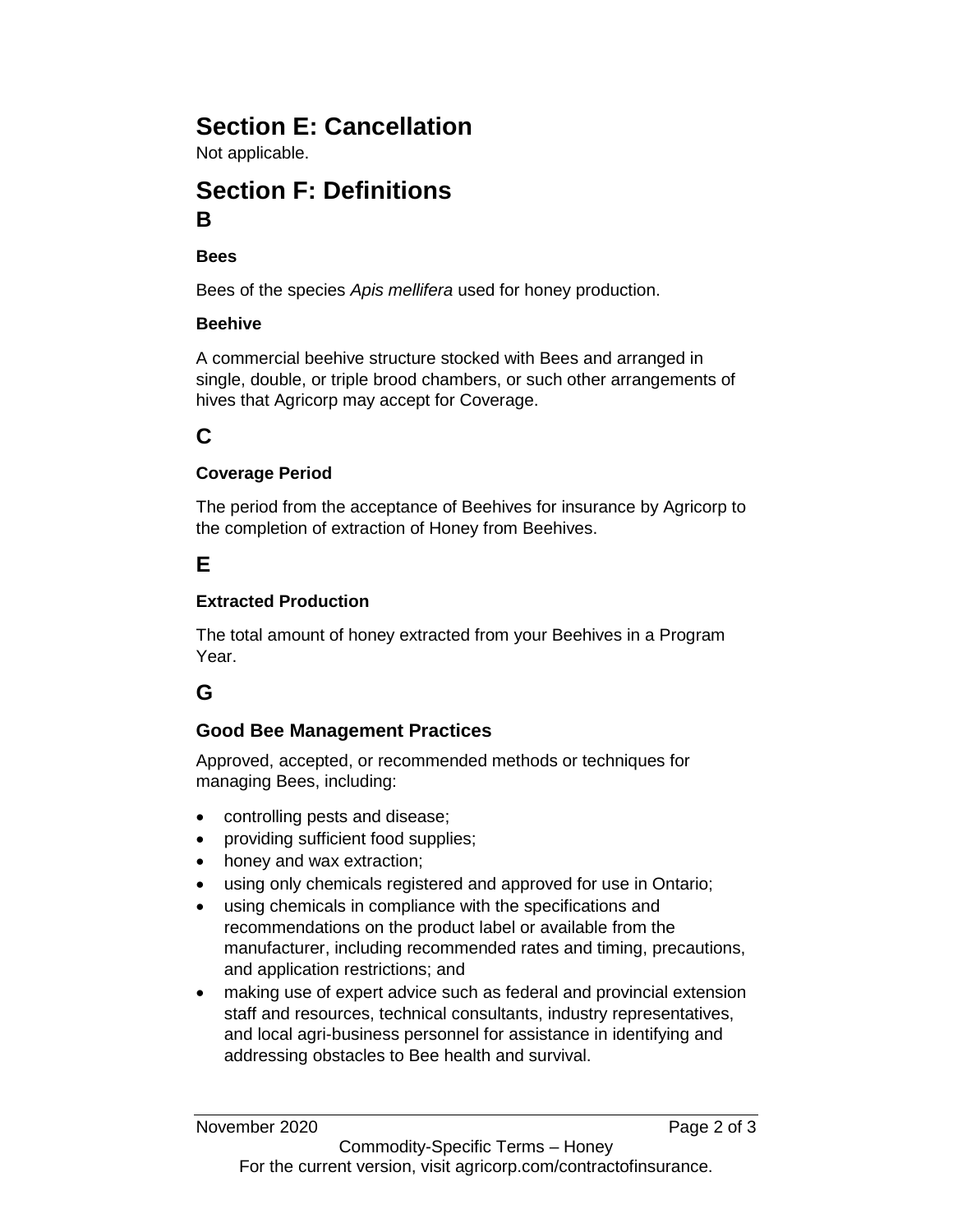# **Section E: Cancellation**

Not applicable.

### **Section F: Definitions B**

**Bees**

Bees of the species *Apis mellifera* used for honey production.

#### **Beehive**

A commercial beehive structure stocked with Bees and arranged in single, double, or triple brood chambers, or such other arrangements of hives that Agricorp may accept for Coverage.

## **C**

#### **Coverage Period**

The period from the acceptance of Beehives for insurance by Agricorp to the completion of extraction of Honey from Beehives.

### **E**

#### **Extracted Production**

The total amount of honey extracted from your Beehives in a Program Year.

### **G**

#### **Good Bee Management Practices**

Approved, accepted, or recommended methods or techniques for managing Bees, including:

- controlling pests and disease;
- providing sufficient food supplies;
- honey and wax extraction;
- using only chemicals registered and approved for use in Ontario;
- using chemicals in compliance with the specifications and recommendations on the product label or available from the manufacturer, including recommended rates and timing, precautions, and application restrictions; and
- making use of expert advice such as federal and provincial extension staff and resources, technical consultants, industry representatives, and local agri-business personnel for assistance in identifying and addressing obstacles to Bee health and survival.